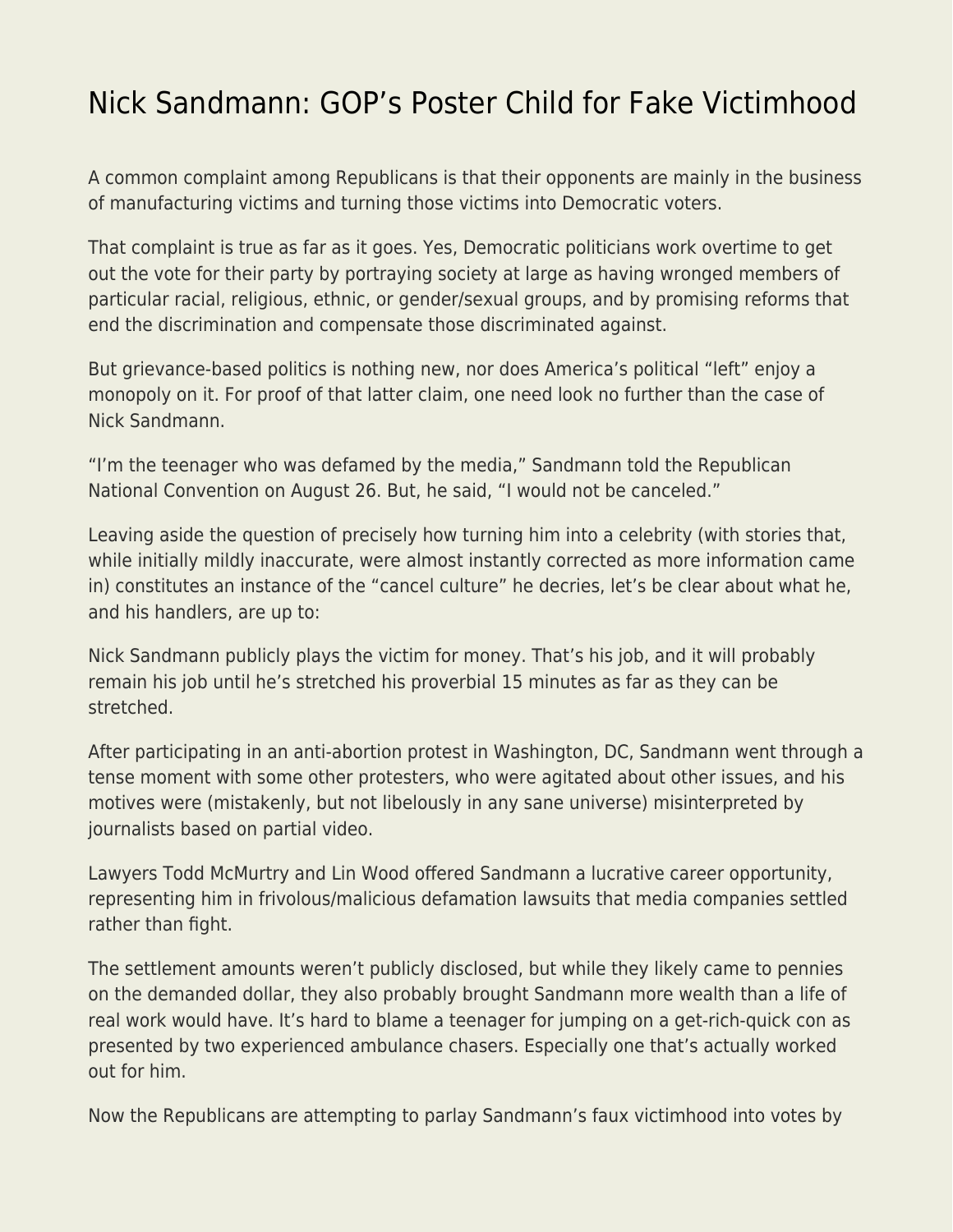## [Nick Sandmann: GOP's Poster Child for Fake Victimhood](https://everything-voluntary.com/nick-sandmann-gops-poster-child-for-fake-victimhood)

A common complaint among Republicans is that their opponents are mainly in the business of manufacturing victims and turning those victims into Democratic voters.

That complaint is true as far as it goes. Yes, Democratic politicians work overtime to get out the vote for their party by portraying society at large as having wronged members of particular racial, religious, ethnic, or gender/sexual groups, and by promising reforms that end the discrimination and compensate those discriminated against.

But grievance-based politics is nothing new, nor does America's political "left" enjoy a monopoly on it. For proof of that latter claim, one need look no further than the case of Nick Sandmann.

"I'm the teenager who was defamed by the media," Sandmann told the Republican National Convention on August 26. But, he said, "I would not be canceled."

Leaving aside the question of precisely how turning him into a celebrity (with stories that, while initially mildly inaccurate, were almost instantly corrected as more information came in) constitutes an instance of the "cancel culture" he decries, let's be clear about what he, and his handlers, are up to:

Nick Sandmann publicly plays the victim for money. That's his job, and it will probably remain his job until he's stretched his proverbial 15 minutes as far as they can be stretched.

After participating in an anti-abortion protest in Washington, DC, Sandmann went through a tense moment with some other protesters, who were agitated about other issues, and his motives were (mistakenly, but not libelously in any sane universe) misinterpreted by journalists based on partial video.

Lawyers Todd McMurtry and Lin Wood offered Sandmann a lucrative career opportunity, representing him in frivolous/malicious defamation lawsuits that media companies settled rather than fight.

The settlement amounts weren't publicly disclosed, but while they likely came to pennies on the demanded dollar, they also probably brought Sandmann more wealth than a life of real work would have. It's hard to blame a teenager for jumping on a get-rich-quick con as presented by two experienced ambulance chasers. Especially one that's actually worked out for him.

Now the Republicans are attempting to parlay Sandmann's faux victimhood into votes by